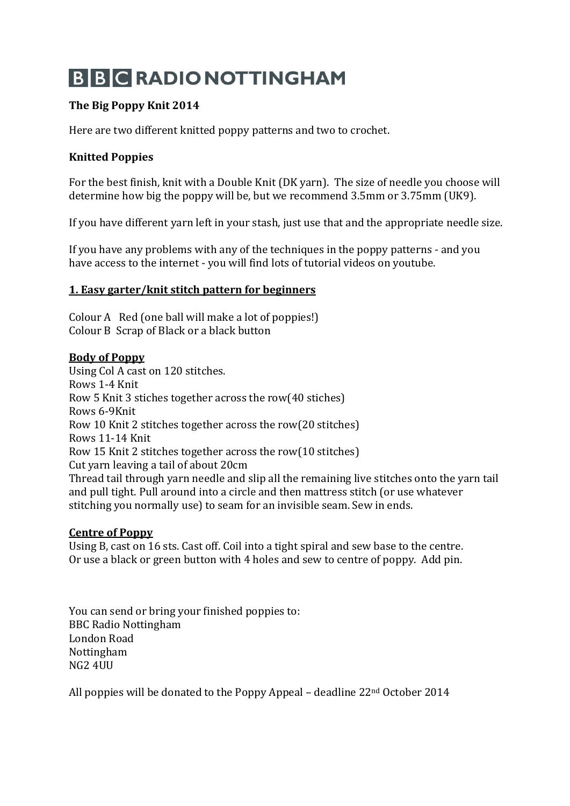# **B B C RADIO NOTTINGHAM**

# **The Big Poppy Knit 2014**

Here are two different knitted poppy patterns and two to crochet.

# **Knitted Poppies**

For the best finish, knit with a Double Knit (DK yarn). The size of needle you choose will determine how big the poppy will be, but we recommend 3.5mm or 3.75mm (UK9).

If you have different yarn left in your stash, just use that and the appropriate needle size.

If you have any problems with any of the techniques in the poppy patterns - and you have access to the internet - you will find lots of tutorial videos on youtube.

### **1. Easy garter/knit stitch pattern for beginners**

Colour A Red (one ball will make a lot of poppies!) Colour B Scrap of Black or a black button

#### **Body of Poppy**

Using Col A cast on 120 stitches. Rows 1-4 Knit Row 5 Knit 3 stiches together across the row(40 stiches) Rows 6-9Knit Row 10 Knit 2 stitches together across the row(20 stitches) Rows 11-14 Knit Row 15 Knit 2 stitches together across the row(10 stitches) Cut yarn leaving a tail of about 20cm Thread tail through yarn needle and slip all the remaining live stitches onto the yarn tail and pull tight. Pull around into a circle and then mattress stitch (or use whatever stitching you normally use) to seam for an invisible seam. Sew in ends.

## **Centre of Poppy**

Using B, cast on 16 sts. Cast off. Coil into a tight spiral and sew base to the centre. Or use a black or green button with 4 holes and sew to centre of poppy. Add pin.

You can send or bring your finished poppies to: BBC Radio Nottingham London Road Nottingham NG2 4UU

All poppies will be donated to the Poppy Appeal – deadline 22nd October 2014